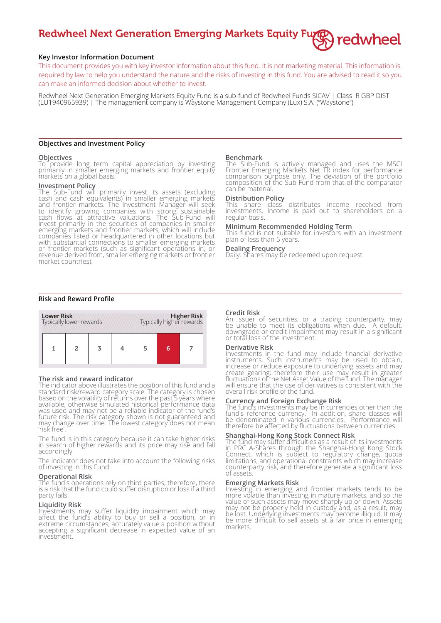# Redwheel Next Generation Emerging Markets Equity Furger redwheel

# **Key Investor Information Document**

This document provides you with key investor information about this fund. It is not marketing material. This information is required by law to help you understand the nature and the risks of investing in this fund. You are advised to read it so you can make an informed decision about whether to invest.

Redwheel Next Generation Emerging Markets Equity Fund is a sub-fund of Redwheel Funds SICAV | Class R GBP DIST (LU1940965939) | The management company is Waystone Management Company (Lux) S.A. ("Waystone")

## **Objectives and Investment Policy**

## **Objectives**

To provide long term capital appreciation by investing primarily in smaller emerging markets and frontier equity markets on a global basis.

## **Investment Policy**

The Sub-Fund will primarily invest its assets (excluding cash and cash equivalents) in smaller emerging markets and frontier markets. The Investment Manager will seek to identify growing companies with strong sustainable cash flows at attractive valuations. The Sub-Fund will invest primarily in the securities of companies in smaller emerging markets and frontier markets, which will include companies listed or headquartered in other locations but with substantial connections to smaller emerging markets or frontier markets (such as significant operations in, or revenue derived from, smaller emerging markets or frontier market countries).

#### **Benchmark**

The Sub-Fund is actively managed and uses the MSCI Frontier Emerging Markets Net TR index for performance comparison purpose only. The deviation of the portfolio composition of the Sub-Fund from that of the comparator can be material.

# **Distribution Policy**

This share class distributes income received from investments. Income is paid out to shareholders on a regular basis.

# **Minimum Recommended Holding Term**

This fund is not suitable for investors with an investment plan of less than 5 years.

#### **Dealing Frequency**

Daily. Shares may be redeemed upon request.

## **Risk and Reward Profile**



#### **The risk and reward indicator**

The indicator above illustrates the position of this fund and a standard risk/reward category scale. The category is chosen based on the volatility of returns over the past 5 years where available, otherwise simulated historical performance data was used and may not be a reliable indicator of the fund's future risk. The risk category shown is not guaranteed and may change over time. The lowest category does not mean 'risk free'.

The fund is in this category because it can take higher risks in search of higher rewards and its price may rise and fall accordingly.

The indicator does not take into account the following risks of investing in this Fund:

#### **Operational Risk**

The fund's operations rely on third parties; therefore, there is a risk that the fund could suffer disruption or loss if a third party fails.

# **Liquidity Risk**

Investments may suffer liquidity impairment which may affect the fund's ability to buy or sell a position, or in extreme circumstances, accurately value a position without accepting a significant decrease in expected value of an investment.

### **Credit Risk**

An issuer of securities, or a trading counterparty, may be unable to meet its obligations when due. A default, downgrade or credit impairment may result in a significant or total loss of the investment.

### **Derivative Risk**

Investments in the fund may include financial derivative instruments. Such instruments may be used to obtain, increase or reduce exposure to underlying assets and may create gearing; therefore their use may result in greater fluctuations of the Net Asset Value of the fund. The manager will ensure that the use of derivatives is consistent with the overall risk profile of the fund.

# **Currency and Foreign Exchange Risk**

The fund's investments may be in currencies other than the fund's reference currency. In addition, share classes will be denominated in various currencies. Performance will therefore be affected by fluctuations between currencies.

## **Shanghai-Hong Kong Stock Connect Risk**

The fund may suffer difficulties as a result of its investments in PRC A-Shares through the Shanghai-Hong Kong Stock Connect, which is subject to regulatory change, quota limitations, and operational constraints which may increase counterparty risk, and therefore generate a significant loss of assets.

#### **Emerging Markets Risk**

Investing in emerging and frontier markets tends to be more volatile than investing in mature markets, and so the value of such assets may move sharply up or down. Assets may not be properly held in custody and, as a result, may be lost. Underlying investments may become illiquid. It may be more difficult to sell assets at a fair price in emerging markets.